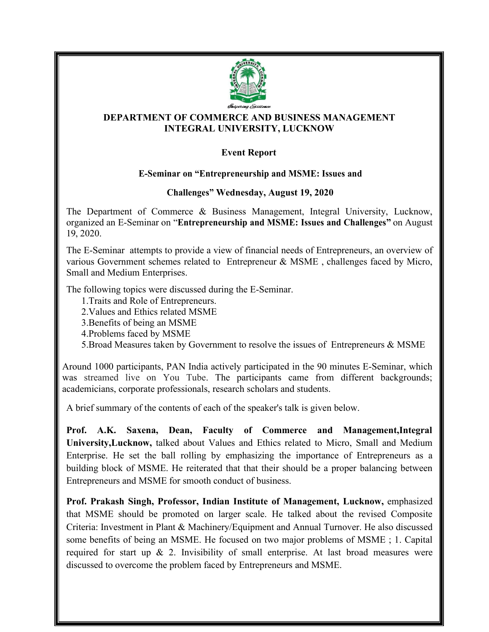

## **DEPARTMENT OF COMMERCE AND BUSINESS MANAGEMENT INTEGRAL UNIVERSITY, LUCKNOW**

## **Event Report**

## **E-Seminar on "Entrepreneurship and MSME: Issues and**

## **Challenges" Wednesday, August 19, 2020**

The Department of Commerce & Business Management, Integral University, Lucknow, organized an E-Seminar on "**Entrepreneurship and MSME: Issues and Challenges"** on August 19, 2020.

The E-Seminar attempts to provide a view of financial needs of Entrepreneurs, an overview of various Government schemes related to Entrepreneur & MSME , challenges faced by Micro, Small and Medium Enterprises.

The following topics were discussed during the E-Seminar.

1.Traits and Role of Entrepreneurs.

2.Values and Ethics related MSME

3. Benefits of being an MSME

4.Problems faced by MSME

5. Broad Measures taken by Government to resolve the issues of Entrepreneurs  $&$  MSME

Around 1000 participants, PAN India actively participated in the 90 minutes E-Seminar, which was streamed live on You Tube. The participants came from different backgrounds; academicians, corporate professionals, research scholars and students.

A brief summary of the contents of each of the speaker's talk is given below.

**Prof. A.K. Saxena, Dean, Faculty of Commerce and Management,Integral University,Lucknow,** talked about Values and Ethics related to Micro, Small and Medium Enterprise. He set the ball rolling by emphasizing the importance of Entrepreneurs as a building block of MSME. He reiterated that that their should be a proper balancing between Entrepreneurs and MSME for smooth conduct of business.

**Prof. Prakash Singh, Professor, Indian Institute of Management, Lucknow,** emphasized that MSME should be promoted on larger scale. He talked about the revised Composite Criteria: Investment in Plant & Machinery/Equipment and Annual Turnover. He also discussed some benefits of being an MSME. He focused on two major problems of MSME ; 1. Capital required for start up  $\&$  2. Invisibility of small enterprise. At last broad measures were discussed to overcome the problem faced by Entrepreneurs and MSME.